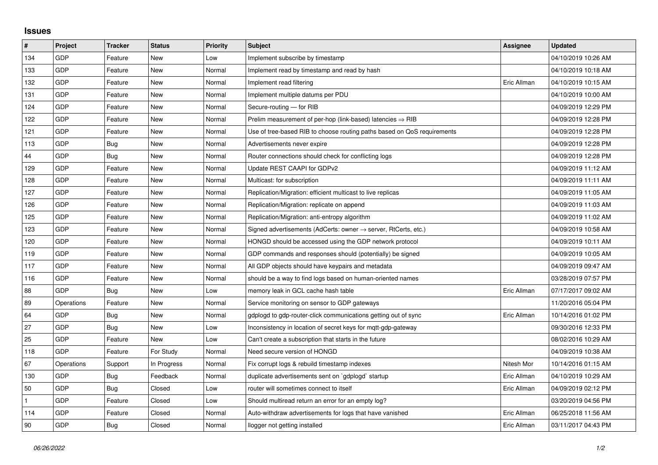## **Issues**

| #   | Project    | <b>Tracker</b> | <b>Status</b> | <b>Priority</b> | <b>Subject</b>                                                          | Assignee    | <b>Updated</b>      |
|-----|------------|----------------|---------------|-----------------|-------------------------------------------------------------------------|-------------|---------------------|
| 134 | GDP        | Feature        | <b>New</b>    | Low             | Implement subscribe by timestamp                                        |             | 04/10/2019 10:26 AM |
| 133 | GDP        | Feature        | New           | Normal          | Implement read by timestamp and read by hash                            |             | 04/10/2019 10:18 AM |
| 132 | <b>GDP</b> | Feature        | New           | Normal          | Implement read filtering                                                | Eric Allman | 04/10/2019 10:15 AM |
| 131 | GDP        | Feature        | <b>New</b>    | Normal          | Implement multiple datums per PDU                                       |             | 04/10/2019 10:00 AM |
| 124 | GDP        | Feature        | <b>New</b>    | Normal          | Secure-routing - for RIB                                                |             | 04/09/2019 12:29 PM |
| 122 | <b>GDP</b> | Feature        | New           | Normal          | Prelim measurement of per-hop (link-based) latencies $\Rightarrow$ RIB  |             | 04/09/2019 12:28 PM |
| 121 | GDP        | Feature        | <b>New</b>    | Normal          | Use of tree-based RIB to choose routing paths based on QoS requirements |             | 04/09/2019 12:28 PM |
| 113 | GDP        | Bug            | New           | Normal          | Advertisements never expire                                             |             | 04/09/2019 12:28 PM |
| 44  | GDP        | Bug            | New           | Normal          | Router connections should check for conflicting logs                    |             | 04/09/2019 12:28 PM |
| 129 | GDP        | Feature        | <b>New</b>    | Normal          | Update REST CAAPI for GDPv2                                             |             | 04/09/2019 11:12 AM |
| 128 | GDP        | Feature        | New           | Normal          | Multicast: for subscription                                             |             | 04/09/2019 11:11 AM |
| 127 | GDP        | Feature        | New           | Normal          | Replication/Migration: efficient multicast to live replicas             |             | 04/09/2019 11:05 AM |
| 126 | GDP        | Feature        | <b>New</b>    | Normal          | Replication/Migration: replicate on append                              |             | 04/09/2019 11:03 AM |
| 125 | GDP        | Feature        | New           | Normal          | Replication/Migration: anti-entropy algorithm                           |             | 04/09/2019 11:02 AM |
| 123 | GDP        | Feature        | New           | Normal          | Signed advertisements (AdCerts: owner → server, RtCerts, etc.)          |             | 04/09/2019 10:58 AM |
| 120 | GDP        | Feature        | <b>New</b>    | Normal          | HONGD should be accessed using the GDP network protocol                 |             | 04/09/2019 10:11 AM |
| 119 | GDP        | Feature        | New           | Normal          | GDP commands and responses should (potentially) be signed               |             | 04/09/2019 10:05 AM |
| 117 | GDP        | Feature        | New           | Normal          | All GDP objects should have keypairs and metadata                       |             | 04/09/2019 09:47 AM |
| 116 | GDP        | Feature        | <b>New</b>    | Normal          | should be a way to find logs based on human-oriented names              |             | 03/28/2019 07:57 PM |
| 88  | <b>GDP</b> | Bug            | New           | Low             | memory leak in GCL cache hash table                                     | Eric Allman | 07/17/2017 09:02 AM |
| 89  | Operations | Feature        | New           | Normal          | Service monitoring on sensor to GDP gateways                            |             | 11/20/2016 05:04 PM |
| 64  | GDP        | Bug            | <b>New</b>    | Normal          | gdplogd to gdp-router-click communications getting out of sync          | Eric Allman | 10/14/2016 01:02 PM |
| 27  | GDP        | Bug            | New           | Low             | Inconsistency in location of secret keys for mgtt-gdp-gateway           |             | 09/30/2016 12:33 PM |
| 25  | GDP        | Feature        | <b>New</b>    | Low             | Can't create a subscription that starts in the future                   |             | 08/02/2016 10:29 AM |
| 118 | GDP        | Feature        | For Study     | Normal          | Need secure version of HONGD                                            |             | 04/09/2019 10:38 AM |
| 67  | Operations | Support        | In Progress   | Normal          | Fix corrupt logs & rebuild timestamp indexes                            | Nitesh Mor  | 10/14/2016 01:15 AM |
| 130 | GDP        | Bug            | Feedback      | Normal          | duplicate advertisements sent on `gdplogd` startup                      | Eric Allman | 04/10/2019 10:29 AM |
| 50  | GDP        | Bug            | Closed        | Low             | router will sometimes connect to itself                                 | Eric Allman | 04/09/2019 02:12 PM |
|     | GDP        | Feature        | Closed        | Low             | Should multiread return an error for an empty log?                      |             | 03/20/2019 04:56 PM |
| 114 | GDP        | Feature        | Closed        | Normal          | Auto-withdraw advertisements for logs that have vanished                | Eric Allman | 06/25/2018 11:56 AM |
| 90  | GDP        | Bug            | Closed        | Normal          | llogger not getting installed                                           | Eric Allman | 03/11/2017 04:43 PM |